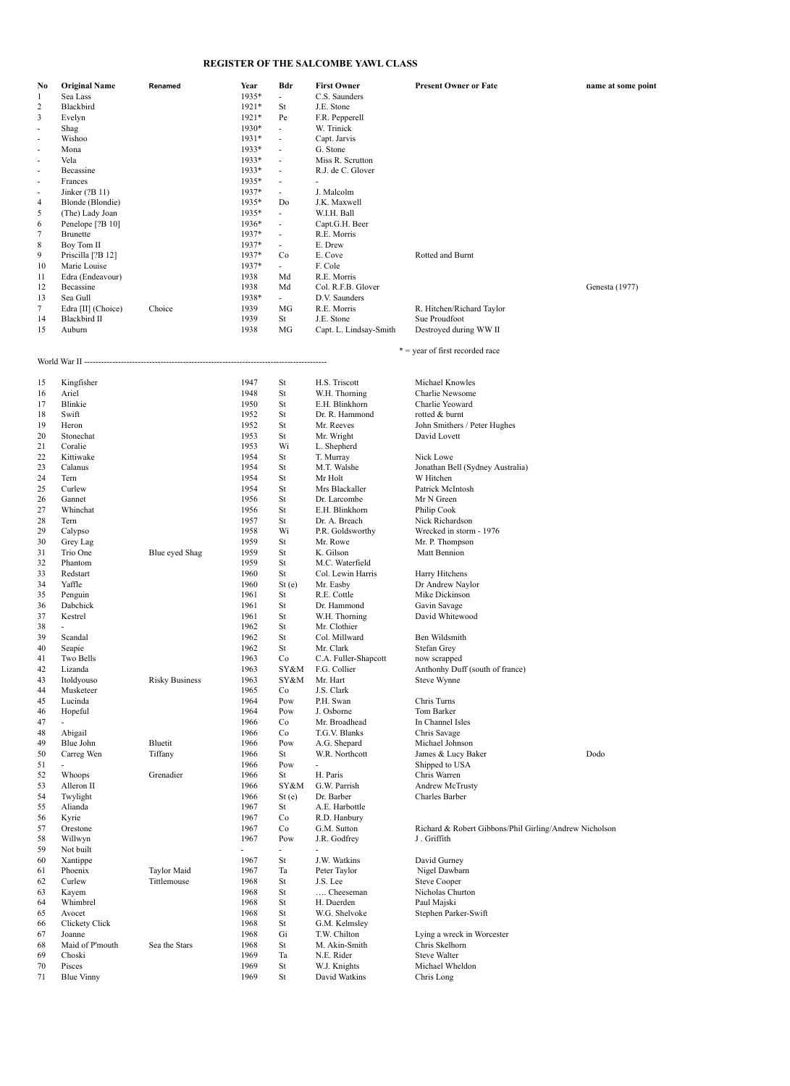## **REGISTER OF THE SALCOMBE YAWL CLASS**

| No<br>1        | <b>Original Name</b><br>Sea Lass | Renamed               | Year<br>1935* | Bdr<br>$\overline{a}$    | <b>First Owner</b><br>C.S. Saunders | <b>Present Owner or Fate</b>                           | name at some point |
|----------------|----------------------------------|-----------------------|---------------|--------------------------|-------------------------------------|--------------------------------------------------------|--------------------|
| $\overline{c}$ | Blackbird                        |                       |               |                          |                                     |                                                        |                    |
|                |                                  |                       | 1921*         | St                       | J.E. Stone                          |                                                        |                    |
| 3              | Evelyn                           |                       | $1921*$       | Pe                       | F.R. Pepperell                      |                                                        |                    |
|                | Shag                             |                       | 1930*         | $\overline{\phantom{a}}$ | W. Trinick                          |                                                        |                    |
| $\overline{a}$ | Wishoo                           |                       | 1931*         | $\frac{1}{2}$            | Capt. Jarvis                        |                                                        |                    |
| $\overline{a}$ | Mona                             |                       | 1933*         | $\overline{a}$           | G. Stone                            |                                                        |                    |
|                | Vela                             |                       | 1933*         | $\overline{\phantom{m}}$ | Miss R. Scrutton                    |                                                        |                    |
|                | Becassine                        |                       | 1933*         | $\overline{\phantom{a}}$ | R.J. de C. Glover                   |                                                        |                    |
|                | Frances                          |                       | 1935*         | $\overline{a}$           | $\sim$                              |                                                        |                    |
|                | Jinker (?B 11)                   |                       | 1937*         | $\overline{\phantom{a}}$ | J. Malcolm                          |                                                        |                    |
| 4              | Blonde (Blondie)                 |                       | 1935*         | Do                       | J.K. Maxwell                        |                                                        |                    |
| 5              | (The) Lady Joan                  |                       | 1935*         | $\overline{\phantom{a}}$ | W.I.H. Ball                         |                                                        |                    |
| 6              | Penelope <sup>[?B 10]</sup>      |                       | 1936*         | $\overline{\phantom{m}}$ | Capt.G.H. Beer                      |                                                        |                    |
| 7              | <b>Brunette</b>                  |                       | 1937*         | $\overline{\phantom{a}}$ | R.E. Morris                         |                                                        |                    |
| $\,$ 8 $\,$    | Boy Tom II                       |                       | 1937*         |                          | E. Drew                             |                                                        |                    |
| 9              | Priscilla [?B 12]                |                       | 1937*         | Co                       | E. Cove                             | Rotted and Burnt                                       |                    |
| 10             | Marie Louise                     |                       | 1937*         | $\overline{\phantom{a}}$ | F. Cole                             |                                                        |                    |
| 11             | Edra (Endeavour)                 |                       | 1938          | Md                       | R.E. Morris                         |                                                        |                    |
| 12             | Becassine                        |                       | 1938          | Md                       | Col. R.F.B. Glover                  |                                                        | Genesta (1977)     |
| 13             | Sea Gull                         |                       | 1938*         | $\overline{\phantom{a}}$ | D.V. Saunders                       |                                                        |                    |
| 7              | Edra [II] (Choice)               | Choice                | 1939          | MG                       | R.E. Morris                         | R. Hitchen/Richard Taylor                              |                    |
| 14             | <b>Blackbird II</b>              |                       | 1939          | St                       | J.E. Stone                          | Sue Proudfoot                                          |                    |
| 15             | Auburn                           |                       | 1938          | MG                       | Capt. L. Lindsay-Smith              | Destroyed during WW II                                 |                    |
|                |                                  |                       |               |                          |                                     |                                                        |                    |
|                |                                  |                       |               |                          |                                     | * = year of first recorded race                        |                    |
|                |                                  |                       |               |                          |                                     |                                                        |                    |
| 15             | Kingfisher                       |                       | 1947          | St                       | H.S. Triscott                       | Michael Knowles                                        |                    |
| 16             | Ariel                            |                       | 1948          | St                       | W.H. Thorning                       | Charlie Newsome                                        |                    |
| 17             | Blinkie                          |                       | 1950          | St                       | E.H. Blinkhorn                      | Charlie Yeoward                                        |                    |
| 18             | Swift                            |                       | 1952          | St                       | Dr. R. Hammond                      | rotted & burnt                                         |                    |
| 19             | Heron                            |                       | 1952          | St                       | Mr. Reeves                          | John Smithers / Peter Hughes                           |                    |
| 20             | Stonechat                        |                       | 1953          | St                       | Mr. Wright                          | David Lovett                                           |                    |
| 21             | Coralie                          |                       | 1953          | Wi                       | L. Shepherd                         |                                                        |                    |
| 22             | Kittiwake                        |                       | 1954          | St                       | T. Murray                           | Nick Lowe                                              |                    |
| 23             | Calanus                          |                       | 1954          | St                       | M.T. Walshe                         | Jonathan Bell (Sydney Australia)                       |                    |
|                |                                  |                       | 1954          |                          |                                     |                                                        |                    |
| 24<br>25       | Tern                             |                       | 1954          | St                       | Mr Holt                             | W Hitchen                                              |                    |
|                | Curlew                           |                       |               | St                       | Mrs Blackaller                      | Patrick McIntosh                                       |                    |
| 26             | Gannet                           |                       | 1956          | St                       | Dr. Larcombe                        | Mr N Green                                             |                    |
| 27             | Whinchat                         |                       | 1956          | St                       | E.H. Blinkhorn                      | Philip Cook                                            |                    |
| 28             | Tern                             |                       | 1957          | St                       | Dr. A. Breach                       | Nick Richardson                                        |                    |
| 29             | Calypso                          |                       | 1958          | Wi                       | P.R. Goldsworthy                    | Wrecked in storm - 1976                                |                    |
| 30             | Grey Lag                         |                       | 1959          | St                       | Mr. Rowe                            | Mr. P. Thompson                                        |                    |
| 31             | Trio One                         | Blue eyed Shag        | 1959          | St                       | K. Gilson                           | Matt Bennion                                           |                    |
| 32             | Phantom                          |                       | 1959          | St                       | M.C. Waterfield                     |                                                        |                    |
| 33             | Redstart                         |                       | 1960          | St                       | Col. Lewin Harris                   | Harry Hitchens                                         |                    |
| 34             | Yaffle                           |                       | 1960          | St(e)                    | Mr. Easby                           | Dr Andrew Naylor                                       |                    |
| 35             | Penguin                          |                       | 1961          | St                       | R.E. Cottle                         | Mike Dickinson                                         |                    |
| 36             | Dabchick                         |                       | 1961          | St                       | Dr. Hammond                         | Gavin Savage                                           |                    |
| 37             | Kestrel                          |                       | 1961          | St                       | W.H. Thorning                       | David Whitewood                                        |                    |
| 38             |                                  |                       | 1962          | St                       | Mr. Clothier                        |                                                        |                    |
| 39             | Scandal                          |                       | 1962          | St                       | Col. Millward                       | Ben Wildsmith                                          |                    |
| 40             | Seapie                           |                       | 1962          | St                       | Mr. Clark                           | Stefan Grev                                            |                    |
| 41             | Two Bells                        |                       | 1963          | Co                       | C.A. Fuller-Shapcott                | now scrapped                                           |                    |
| 42             | Lizanda                          |                       | 1963          | SY&M                     | F.G. Collier                        | Anthonhy Duff (south of france)                        |                    |
| 43             | Itoldyouso                       | <b>Risky Business</b> | 1963          | SY&M                     | Mr. Hart                            | Steve Wynne                                            |                    |
| 44             | Musketeer                        |                       | 1965          | C <sub>0</sub>           | J.S. Clark                          |                                                        |                    |
| 45             | Lucinda                          |                       | 1964          | Pow                      | P.H. Swan                           | Chris Turns                                            |                    |
| 46             | Hopeful                          |                       | 1964          | Pow                      | J. Osborne                          | Tom Barker                                             |                    |
| 47             |                                  |                       | 1966          | Co                       | Mr. Broadhead                       | In Channel Isles                                       |                    |
| 48             | Abigail                          |                       | 1966          | Co                       | T.G.V. Blanks                       | Chris Savage                                           |                    |
| 49             | Blue John                        | Bluetit               | 1966          | Pow                      | A.G. Shepard                        | Michael Johnson                                        |                    |
| 50             | Carreg Wen                       | Tiffany               | 1966          | St                       | W.R. Northcott                      | James & Lucy Baker                                     | Dodo               |
| 51             |                                  |                       | 1966          | Pow                      |                                     | Shipped to USA                                         |                    |
| 52             | Whoops                           | Grenadier             | 1966          | St                       | H. Paris                            | Chris Warren                                           |                    |
| 53             | Alleron II                       |                       | 1966          | SY&M                     | G.W. Parrish                        | Andrew McTrusty                                        |                    |
| 54             | Twylight                         |                       | 1966          | St(e)                    | Dr. Barber                          | Charles Barber                                         |                    |
| 55             | Alianda                          |                       | 1967          | St                       | A.E. Harbottle                      |                                                        |                    |
| 56             | Kyrie                            |                       | 1967          | Co                       | R.D. Hanbury                        |                                                        |                    |
| 57             | Orestone                         |                       | 1967          | Co                       | G.M. Sutton                         | Richard & Robert Gibbons/Phil Girling/Andrew Nicholson |                    |
| 58             | Willwyn                          |                       | 1967          | Pow                      | J.R. Godfrey                        | J. Griffith                                            |                    |
| 59             | Not built                        |                       |               |                          |                                     |                                                        |                    |
| 60             | Xantippe                         |                       | 1967          | St                       | J.W. Watkins                        | David Gurney                                           |                    |
| 61             | Phoenix                          | <b>Taylor Maid</b>    | 1967          | Ta                       | Peter Taylor                        | Nigel Dawbarn                                          |                    |
| 62             | Curlew                           | Tittlemouse           | 1968          | St                       | J.S. Lee                            | <b>Steve Cooper</b>                                    |                    |
| 63             | Kayem                            |                       | 1968          | St                       | Cheeseman                           | Nicholas Churton                                       |                    |
| 64             | Whimbrel                         |                       | 1968          | St                       | H. Duerden                          | Paul Majski                                            |                    |
| 65             | Avocet                           |                       | 1968          | St                       | W.G. Shelvoke                       | Stephen Parker-Swift                                   |                    |
| 66             | Clickety Click                   |                       | 1968          | St                       | G.M. Kelmsley                       |                                                        |                    |
| 67             | Joanne                           |                       | 1968          | Gi                       | T.W. Chilton                        | Lying a wreck in Worcester                             |                    |
| 68             | Maid of P'mouth                  | Sea the Stars         | 1968          | St                       | M. Akin-Smith                       | Chris Skelhorn                                         |                    |
| 69             | Choski                           |                       | 1969          | Ta                       | N.E. Rider                          | Steve Walter                                           |                    |
| 70             | Pisces                           |                       | 1969          | St                       | W.J. Knights                        | Michael Wheldon                                        |                    |
| 71             | <b>Blue Vinny</b>                |                       | 1969          | St                       | David Watkins                       | Chris Long                                             |                    |
|                |                                  |                       |               |                          |                                     |                                                        |                    |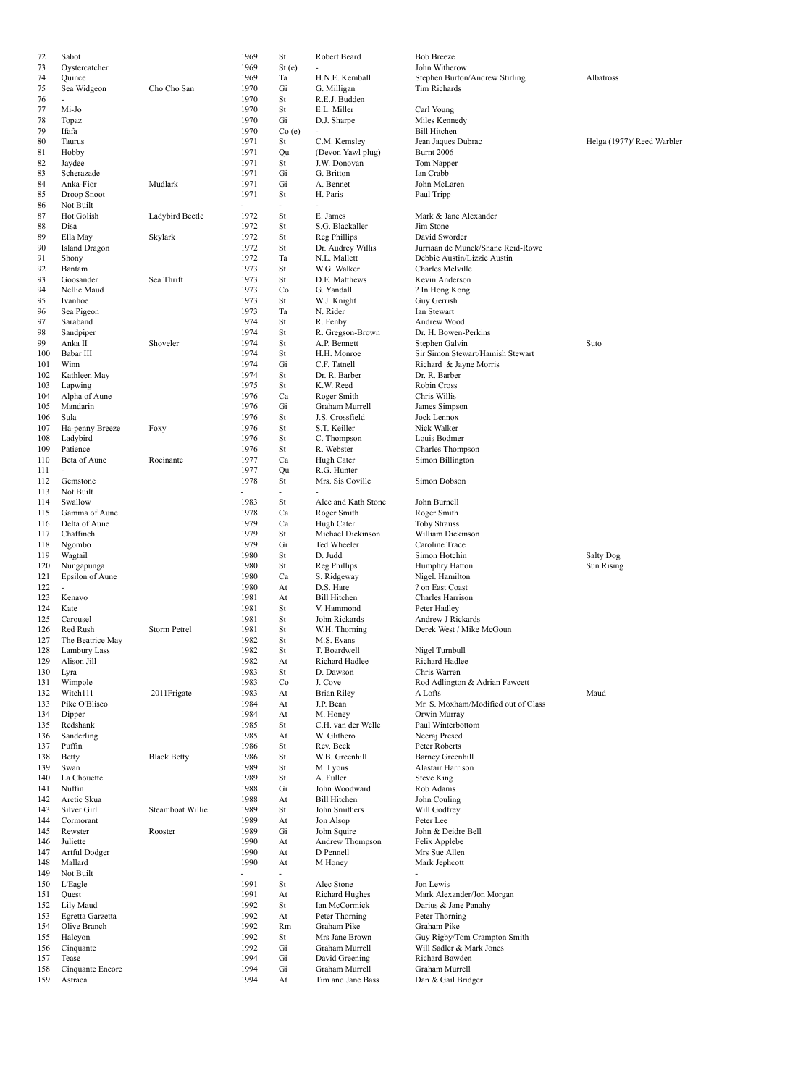| 72         | Sabot                          |                     | 1969         | St             | Robert Beard                         | <b>Bob Breeze</b>                   |            |
|------------|--------------------------------|---------------------|--------------|----------------|--------------------------------------|-------------------------------------|------------|
| 73         | Oystercatcher                  |                     | 1969         | St(e)          | $\overline{a}$                       | John Witherow                       |            |
| 74         | Quince                         |                     | 1969         | Ta             | H.N.E. Kemball                       | Stephen Burton/Andrew Stirling      | Albatross  |
| 75         | Sea Widgeon                    | Cho Cho San         | 1970         | Gi             | G. Milligan                          | Tim Richards                        |            |
| 76         | $\overline{a}$                 |                     | 1970         | St             | R.E.J. Budden                        |                                     |            |
| 77         | Mi-Jo                          |                     | 1970         | St             | E.L. Miller                          | Carl Young                          |            |
| 78         | Topaz                          |                     | 1970         | Gi             | D.J. Sharpe                          | Miles Kennedy                       |            |
| 79         | Ifafa                          |                     | 1970         | Co(e)          | ÷,                                   | <b>Bill Hitchen</b>                 |            |
| 80         | Taurus                         |                     | 1971         | St             | C.M. Kemsley                         | Jean Jaques Dubrac                  | Helga (197 |
| 81         | Hobby                          |                     | 1971         | Qu<br>St       | (Devon Yawl plug)<br>J.W. Donovan    | <b>Burnt 2006</b>                   |            |
| 82         | Jaydee<br>Scherazade           |                     | 1971<br>1971 | Gi             | G. Britton                           | Tom Napper                          |            |
| 83         | Anka-Fior                      | Mudlark             | 1971         | Gi             | A. Bennet                            | Ian Crabb<br>John McLaren           |            |
| 84<br>85   |                                |                     | 1971         | St             | H. Paris                             | Paul Tripp                          |            |
| 86         | Droop Snoot<br>Not Built       |                     | ÷,           | ÷.             | ÷,                                   |                                     |            |
| 87         | <b>Hot Golish</b>              | Ladybird Beetle     | 1972         | St             | E. James                             | Mark & Jane Alexander               |            |
| 88         | Disa                           |                     | 1972         | St             | S.G. Blackaller                      | Jim Stone                           |            |
| 89         | Ella May                       | Skylark             | 1972         | St             | Reg Phillips                         | David Sworder                       |            |
| 90         | <b>Island Dragon</b>           |                     | 1972         | St             | Dr. Audrey Willis                    | Jurriaan de Munck/Shane Reid-Rowe   |            |
| 91         | Shony                          |                     | 1972         | Ta             | N.L. Mallett                         | Debbie Austin/Lizzie Austin         |            |
| 92         | Bantam                         |                     | 1973         | St             | W.G. Walker                          | Charles Melville                    |            |
| 93         | Goosander                      | Sea Thrift          | 1973         | St             | D.E. Matthews                        | Kevin Anderson                      |            |
| 94         | Nellie Maud                    |                     | 1973         | Co             | G. Yandall                           | ? In Hong Kong                      |            |
| 95         | Ivanhoe                        |                     | 1973         | St             | W.J. Knight                          | Guy Gerrish                         |            |
| 96         | Sea Pigeon                     |                     | 1973         | Ta             | N. Rider                             | Ian Stewart                         |            |
| 97         | Saraband                       |                     | 1974         | St             | R. Fenby                             | Andrew Wood                         |            |
| 98         | Sandpiper                      |                     | 1974         | St             | R. Gregson-Brown                     | Dr. H. Bowen-Perkins                |            |
| 99         | Anka II                        | Shoveler            | 1974         | St             | A.P. Bennett                         | Stephen Galvin                      | Suto       |
| 100        | Babar III                      |                     | 1974         | St             | H.H. Monroe                          | Sir Simon Stewart/Hamish Stewart    |            |
| 101        | Winn                           |                     | 1974         | Gi             | C.F. Tatnell                         | Richard & Jayne Morris              |            |
| 102        | Kathleen May                   |                     | 1974         | St             | Dr. R. Barber                        | Dr. R. Barber                       |            |
| 103        | Lapwing                        |                     | 1975         | St             | K.W. Reed                            | Robin Cross                         |            |
| 104        | Alpha of Aune                  |                     | 1976         | Ca             | Roger Smith                          | Chris Willis                        |            |
| 105        | Mandarin                       |                     | 1976         | Gi             | Graham Murrell                       | James Simpson                       |            |
| 106        | Sula                           |                     | 1976         | St             | J.S. Crossfield                      | Jock Lennox                         |            |
| 107        | Ha-penny Breeze                | Foxy                | 1976         | St             | S.T. Keiller                         | Nick Walker                         |            |
| 108        | Ladybird                       |                     | 1976         | St             | C. Thompson                          | Louis Bodmer                        |            |
| 109        | Patience                       |                     | 1976         | St             | R. Webster                           | Charles Thompson                    |            |
| 110        | Beta of Aune                   | Rocinante           | 1977         | Ca             | Hugh Cater                           | Simon Billington                    |            |
| 111        | ÷.                             |                     | 1977         | Ou             | R.G. Hunter                          |                                     |            |
| 112        | Gemstone                       |                     | 1978         | St             | Mrs. Sis Coville                     | Simon Dobson                        |            |
| 113        | Not Built                      |                     | ÷,           | ÷.             |                                      |                                     |            |
| 114        | Swallow                        |                     | 1983         | St             | Alec and Kath Stone                  | John Burnell                        |            |
| 115        | Gamma of Aune<br>Delta of Aune |                     | 1978<br>1979 | Ca<br>Ca       | Roger Smith<br>Hugh Cater            | Roger Smith<br><b>Toby Strauss</b>  |            |
| 116<br>117 | Chaffinch                      |                     | 1979         | St             | Michael Dickinson                    | William Dickinson                   |            |
| 118        | Ngombo                         |                     | 1979         | Gi             | Ted Wheeler                          | Caroline Trace                      |            |
| 119        | Wagtail                        |                     | 1980         | St             | D. Judd                              | Simon Hotchin                       | Salty Dog  |
| 120        | Nungapunga                     |                     | 1980         | St             | Reg Phillips                         | Humphry Hatton                      | Sun Rising |
| 121        | Epsilon of Aune                |                     | 1980         | Ca             | S. Ridgeway                          | Nigel. Hamilton                     |            |
| 122        |                                |                     | 1980         | At             | D.S. Hare                            | ? on East Coast                     |            |
| 123        | Kenavo                         |                     | 1981         | At             | <b>Bill Hitchen</b>                  | Charles Harrison                    |            |
| 124        | Kate                           |                     | 1981         | St             | V. Hammond                           | Peter Hadley                        |            |
| 125        | Carousel                       |                     | 1981         | St             | John Rickards                        | Andrew J Rickards                   |            |
| 126        | Red Rush                       | <b>Storm Petrel</b> | 1981         | St             | W.H. Thorning                        | Derek West / Mike McGoun            |            |
| 127        | The Beatrice May               |                     | 1982         | St             | M.S. Evans                           |                                     |            |
| 128        | Lambury Lass                   |                     | 1982         | St             | T. Boardwell                         | Nigel Turnbull                      |            |
| 129        | Alison Jill                    |                     | 1982         | At             | Richard Hadlee                       | Richard Hadlee                      |            |
| 130        | Lyra                           |                     | 1983         | St             | D. Dawson                            | Chris Warren                        |            |
| 131        | Wimpole                        |                     | 1983         | Co             | J. Cove                              | Rod Adlington & Adrian Fawcett      |            |
| 132        | Witch111                       | 2011 Frigate        | 1983         | At             | <b>Brian Riley</b>                   | A Lofts                             | Maud       |
| 133        | Pike O'Blisco                  |                     | 1984         | At             | J.P. Bean                            | Mr. S. Moxham/Modified out of Class |            |
| 134        | Dipper                         |                     | 1984         | At             | M. Honey                             | Orwin Murray                        |            |
| 135        | Redshank                       |                     | 1985         | St             | C.H. van der Welle                   | Paul Winterbottom                   |            |
| 136        | Sanderling                     |                     | 1985         | At             | W. Glithero                          | Neeraj Presed                       |            |
| 137        | Puffin                         |                     | 1986         | St             | Rev. Beck                            | Peter Roberts                       |            |
| 138        | Betty                          | <b>Black Betty</b>  | 1986         | St             | W.B. Greenhill                       | <b>Barney Greenhill</b>             |            |
| 139        | Swan                           |                     | 1989         | St             | M. Lyons                             | Alastair Harrison                   |            |
| 140        | La Chouette                    |                     | 1989         | St             | A. Fuller                            | <b>Steve King</b>                   |            |
| 141        | Nuffin                         |                     | 1988         | Gi             | John Woodward                        | Rob Adams                           |            |
| 142<br>143 | Arctic Skua<br>Silver Girl     | Steamboat Willie    | 1988         | At             | <b>Bill Hitchen</b><br>John Smithers | John Couling<br>Will Godfrey        |            |
| 144        | Cormorant                      |                     | 1989<br>1989 | St<br>At       |                                      | Peter Lee                           |            |
| 145        | Rewster                        | Rooster             | 1989         | Gi             | Jon Alsop<br>John Squire             | John & Deidre Bell                  |            |
| 146        | Juliette                       |                     | 1990         | At             | Andrew Thompson                      | Felix Applebe                       |            |
| 147        | Artful Dodger                  |                     | 1990         | At             | D Pennell                            | Mrs Sue Allen                       |            |
| 148        | Mallard                        |                     | 1990         | At             | M Honey                              | Mark Jephcott                       |            |
| 149        | Not Built                      |                     | ÷.           | $\overline{a}$ |                                      |                                     |            |
| 150        | L'Eagle                        |                     | 1991         | St             | Alec Stone                           | Jon Lewis                           |            |
| 151        | Quest                          |                     | 1991         | At             | <b>Richard Hughes</b>                | Mark Alexander/Jon Morgan           |            |
| 152        | Lily Maud                      |                     | 1992         | St             | Ian McCormick                        | Darius & Jane Panahy                |            |
| 153        | Egretta Garzetta               |                     | 1992         | At             | Peter Thorning                       | Peter Thorning                      |            |
| 154        | Olive Branch                   |                     | 1992         | Rm             | Graham Pike                          | Graham Pike                         |            |
| 155        | Halcyon                        |                     | 1992         | St             | Mrs Jane Brown                       | Guy Rigby/Tom Crampton Smith        |            |
| 156        | Cinquante                      |                     | 1992         | Gi             | Graham Murrell                       | Will Sadler & Mark Jones            |            |
| 157        | Tease                          |                     | 1994         | Gi             | David Greening                       | Richard Bawden                      |            |
| 158        | Cinquante Encore               |                     | 1994         | Gi             | Graham Murrell                       | Graham Murrell                      |            |
| 159        | Astraea                        |                     | 1994         | At             | Tim and Jane Bass                    | Dan & Gail Bridger                  |            |
|            |                                |                     |              |                |                                      |                                     |            |

74 Ta H.N.E. Kemball Stephen Burton/Andrew Stirling Albatross<br>70 Gi G. Milliean Tim Richards 81 Taurus 1980 Stean Jaques Dubrac Helga (1977)/ Reed Warbler<br>1980 News 1980 Stean Jaques Dubrac Helga (1977)/ Reed Warbler<br>1980 News 1980 Stean Jaques Dubrac Helga (1977)/ Reed Warbler 90 1992 St Dr. Audrey Willis Jurriaan de Munck/Shane Reid-Rowe<br>912 Ta N.L. Mallett Debbie Austin/Lizzie Austin 91 Ta N.L. Mallett Debbie Austin/Lizzie Austin<br>913 St W.G. Walker Charles Melville Dr. H. Bowen-Perkins 100 Babar II 1974 St H.H. Monroe Sir Simon Stewart/Hamish Stewart<br>1974 Gi C.F. Tatnell Stechard & Javne Morris 126 Red Rush Storm Rush Storm Petrel 1981 Storm Petrel 1982 Storm Petrol 1981 Storm Petrol 2013 Storm Petrol 20<br>1982 Storm Petrol 2013 Storm Petrol 2014 Storm Petrol 2014 Storm Petrol 2014 Storm Petrol 2014 Storm Petrol 20 131 Rod Adlington & Adrian Fawcett<br>
131 At Brian Riley Contract A Lofts 133 Pike Mr. S. Moxham/Modified out of Class<br>
1334 At M. Honey Mr. S. Moxham/Modified out of Class John Couling 151 At Richard Hughes Mark Alexander/Jon Morgan<br>1514 Mark Alexander/Jon Morgan<br>1515 Darius & Jane Panahy 155 Mrs Jane Brown Guy Rigby/Tom Crampton Smith<br>1992 Gi Graham Murrell Will Sadler & Mark Jones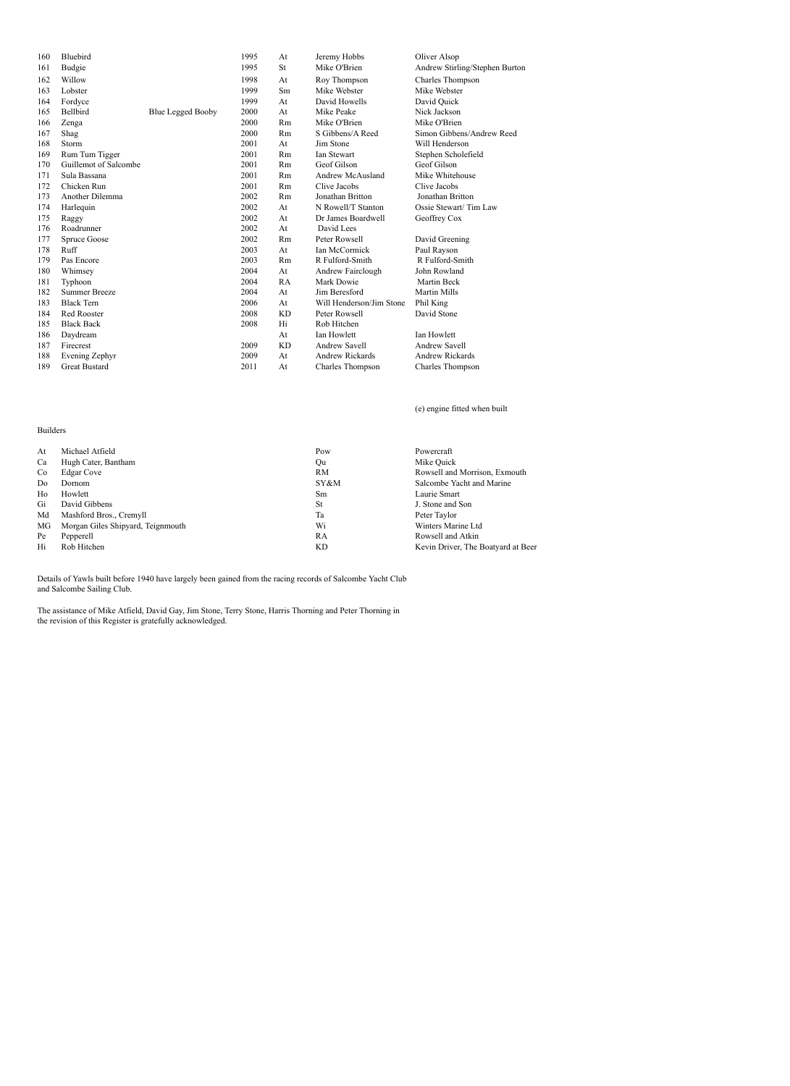| 160 | Bluebird              |                          | 1995 | At        | Jeremy Hobbs             | Oliver Alsop                   |
|-----|-----------------------|--------------------------|------|-----------|--------------------------|--------------------------------|
| 161 | Budgie                |                          | 1995 | St        | Mike O'Brien             | Andrew Stirling/Stephen Burton |
| 162 | Willow                |                          | 1998 | At        | Roy Thompson             | Charles Thompson               |
| 163 | Lobster               |                          | 1999 | Sm        | Mike Webster             | Mike Webster                   |
| 164 | Fordyce               |                          | 1999 | At        | David Howells            | David Quick                    |
| 165 | Bellbird              | <b>Blue Legged Booby</b> | 2000 | At        | Mike Peake               | Nick Jackson                   |
| 166 | Zenga                 |                          | 2000 | Rm        | Mike O'Brien             | Mike O'Brien                   |
| 167 | Shag                  |                          | 2000 | Rm        | S Gibbens/A Reed         | Simon Gibbens/Andrew Reed      |
| 168 | Storm                 |                          | 2001 | At        | Jim Stone                | Will Henderson                 |
| 169 | Rum Tum Tigger        |                          | 2001 | Rm        | Ian Stewart              | Stephen Scholefield            |
| 170 | Guillemot of Salcombe |                          | 2001 | Rm        | Geof Gilson              | Geof Gilson                    |
| 171 | Sula Bassana          |                          | 2001 | Rm        | Andrew McAusland         | Mike Whitehouse                |
| 172 | Chicken Run           |                          | 2001 | Rm        | Clive Jacobs             | Clive Jacobs                   |
| 173 | Another Dilemma       |                          | 2002 | Rm        | Jonathan Britton         | Jonathan Britton               |
| 174 | Harlequin             |                          | 2002 | At        | N Rowell/T Stanton       | Ossie Stewart/Tim Law          |
| 175 | Raggy                 |                          | 2002 | At        | Dr James Boardwell       | Geoffrey Cox                   |
| 176 | Roadrunner            |                          | 2002 | At        | David Lees               |                                |
| 177 | Spruce Goose          |                          | 2002 | Rm        | Peter Rowsell            | David Greening                 |
| 178 | Ruff                  |                          | 2003 | At        | Ian McCormick            | Paul Rayson                    |
| 179 | Pas Encore            |                          | 2003 | Rm        | R Fulford-Smith          | R Fulford-Smith                |
| 180 | Whimsey               |                          | 2004 | At        | Andrew Fairclough        | John Rowland                   |
| 181 | Typhoon               |                          | 2004 | RA        | Mark Dowie               | Martin Beck                    |
| 182 | <b>Summer Breeze</b>  |                          | 2004 | At        | Jim Beresford            | <b>Martin Mills</b>            |
| 183 | <b>Black Tern</b>     |                          | 2006 | At        | Will Henderson/Jim Stone | Phil King                      |
| 184 | Red Rooster           |                          | 2008 | <b>KD</b> | Peter Rowsell            | David Stone                    |
| 185 | <b>Black Back</b>     |                          | 2008 | Hi        | Rob Hitchen              |                                |
| 186 | Daydream              |                          |      | At        | <b>Ian Howlett</b>       | <b>Ian Howlett</b>             |
| 187 | Firecrest             |                          | 2009 | <b>KD</b> | <b>Andrew Savell</b>     | <b>Andrew Savell</b>           |
| 188 | Evening Zephyr        |                          | 2009 | At        | <b>Andrew Rickards</b>   | <b>Andrew Rickards</b>         |
| 189 | <b>Great Bustard</b>  |                          | 2011 | At        | Charles Thompson         | Charles Thompson               |

(e) engine fitted when built

| Michael Atfield                   | Pow  | Powercraft                         |
|-----------------------------------|------|------------------------------------|
| Hugh Cater, Bantham               | Ou   | Mike Quick                         |
| <b>Edgar Cove</b>                 | RM   | Rowsell and Morrison, Exmouth      |
| Dornom                            | SY&M | Salcombe Yacht and Marine          |
| Howlett                           | Sm   | Laurie Smart                       |
| David Gibbens                     | St   | J. Stone and Son                   |
| Mashford Bros., Cremyll           | Ta   | Peter Taylor                       |
| Morgan Giles Shipyard, Teignmouth | Wi   | Winters Marine Ltd                 |
| Pepperell                         | RA   | Rowsell and Atkin                  |
| Rob Hitchen                       | KD   | Kevin Driver, The Boatyard at Beer |
|                                   |      |                                    |

Details of Yawls built before 1940 have largely been gained from the racing records of Salcombe Yacht Club and Salcombe Sailing Club.

Builders

The assistance of Mike Atfield, David Gay, Jim Stone, Terry Stone, Harris Thorning and Peter Thorning in the revision of this Register is gratefully acknowledged.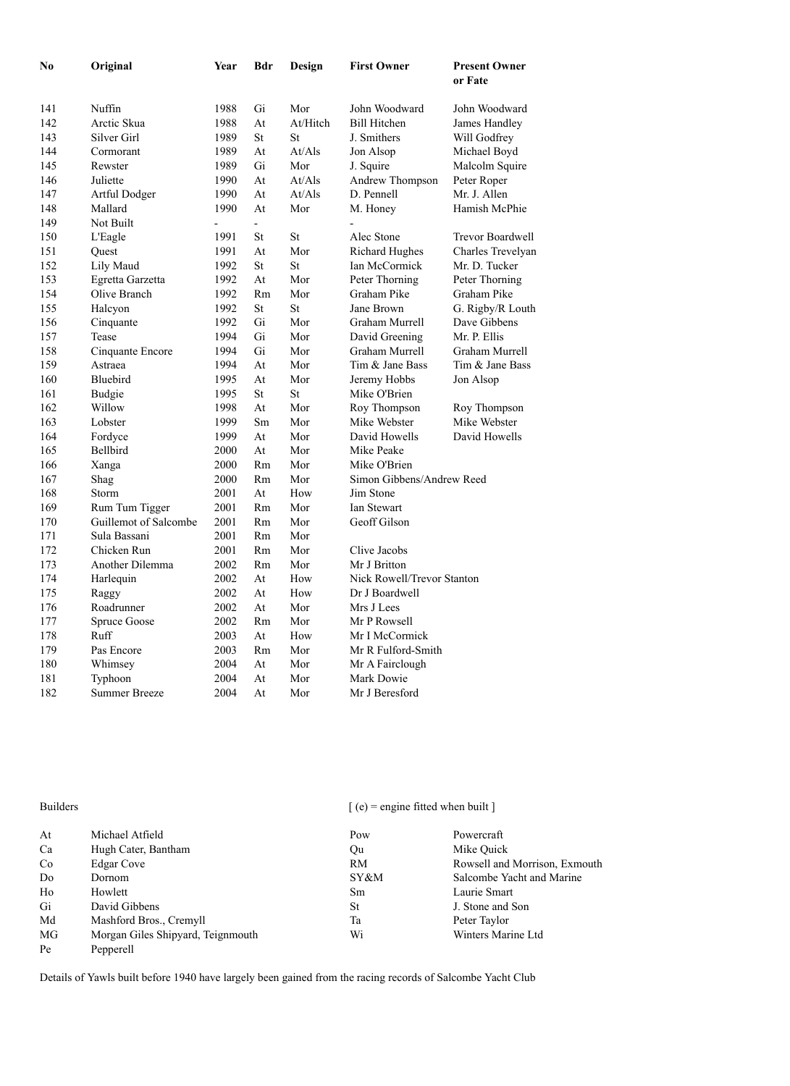| No  | Original              | Year | Bdr | Design   | <b>First Owner</b>         | <b>Present Owner</b><br>or Fate |
|-----|-----------------------|------|-----|----------|----------------------------|---------------------------------|
| 141 | Nuffin                | 1988 | Gi  | Mor      | John Woodward              | John Woodward                   |
| 142 | Arctic Skua           | 1988 | At  | At/Hitch | <b>Bill Hitchen</b>        | James Handley                   |
| 143 | <b>Silver Girl</b>    | 1989 | St  | St       | J. Smithers                | Will Godfrey                    |
| 144 | Cormorant             | 1989 | At  | At/Als   | Jon Alsop                  | Michael Boyd                    |
| 145 | Rewster               | 1989 | Gi  | Mor      | J. Squire                  | Malcolm Squire                  |
| 146 | Juliette              | 1990 | At  | At/Als   | Andrew Thompson            | Peter Roper                     |
| 147 | Artful Dodger         | 1990 | At  | At/Als   | D. Pennell                 | Mr. J. Allen                    |
| 148 | Mallard               | 1990 | At  | Mor      | M. Honey                   | Hamish McPhie                   |
| 149 | Not Built             | ÷,   | ÷.  |          |                            |                                 |
| 150 | L'Eagle               | 1991 | St  | St       | Alec Stone                 | Trevor Boardwell                |
| 151 | Quest                 | 1991 | At  | Mor      | <b>Richard Hughes</b>      | Charles Trevelyan               |
| 152 | Lily Maud             | 1992 | St  | St       | Ian McCormick              | Mr. D. Tucker                   |
| 153 | Egretta Garzetta      | 1992 | At  | Mor      | Peter Thorning             | Peter Thorning                  |
| 154 | Olive Branch          | 1992 | Rm  | Mor      | Graham Pike                | Graham Pike                     |
| 155 | Halcyon               | 1992 | St  | St       | Jane Brown                 | G. Rigby/R Louth                |
| 156 | Cinquante             | 1992 | Gi  | Mor      | Graham Murrell             | Dave Gibbens                    |
| 157 | Tease                 | 1994 | Gi  | Mor      | David Greening             | Mr. P. Ellis                    |
| 158 | Cinquante Encore      | 1994 | Gi  | Mor      | Graham Murrell             | Graham Murrell                  |
| 159 | Astraea               | 1994 | At  | Mor      | Tim & Jane Bass            | Tim & Jane Bass                 |
| 160 | Bluebird              | 1995 | At  | Mor      | Jeremy Hobbs               | Jon Alsop                       |
| 161 | Budgie                | 1995 | St  | St       | Mike O'Brien               |                                 |
| 162 | Willow                | 1998 | At  | Mor      | Roy Thompson               | Roy Thompson                    |
| 163 | Lobster               | 1999 | Sm  | Mor      | Mike Webster               | Mike Webster                    |
| 164 | Fordyce               | 1999 | At  | Mor      | David Howells              | David Howells                   |
| 165 | Bellbird              | 2000 | At  | Mor      | Mike Peake                 |                                 |
| 166 | Xanga                 | 2000 | Rm  | Mor      | Mike O'Brien               |                                 |
| 167 | Shag                  | 2000 | Rm  | Mor      | Simon Gibbens/Andrew Reed  |                                 |
| 168 | Storm                 | 2001 | At  | How      | Jim Stone                  |                                 |
| 169 | Rum Tum Tigger        | 2001 | Rm  | Mor      | <b>Ian Stewart</b>         |                                 |
| 170 | Guillemot of Salcombe | 2001 | Rm  | Mor      | Geoff Gilson               |                                 |
| 171 | Sula Bassani          | 2001 | Rm  | Mor      |                            |                                 |
| 172 | Chicken Run           | 2001 | Rm  | Mor      | Clive Jacobs               |                                 |
| 173 | Another Dilemma       | 2002 | Rm  | Mor      | Mr J Britton               |                                 |
| 174 | Harlequin             | 2002 | At  | How      | Nick Rowell/Trevor Stanton |                                 |
| 175 | Raggy                 | 2002 | At  | How      | Dr J Boardwell             |                                 |
| 176 | Roadrunner            | 2002 | At  | Mor      | Mrs J Lees                 |                                 |
| 177 | Spruce Goose          | 2002 | Rm  | Mor      | Mr P Rowsell               |                                 |
| 178 | Ruff                  | 2003 | At  | How      | Mr I McCormick             |                                 |
| 179 | Pas Encore            | 2003 | Rm  | Mor      | Mr R Fulford-Smith         |                                 |
| 180 | Whimsey               | 2004 | At  | Mor      | Mr A Fairclough            |                                 |
| 181 | Typhoon               | 2004 | At  | Mor      | Mark Dowie                 |                                 |
| 182 | <b>Summer Breeze</b>  | 2004 | At  | Mor      | Mr J Beresford             |                                 |
|     |                       |      |     |          |                            |                                 |

Builders [ (e) = engine fitted when built ]

| At | Michael Atfield                   | Pow           | Powercraft                    |
|----|-----------------------------------|---------------|-------------------------------|
| Ca | Hugh Cater, Bantham               | Qu            | Mike Ouick                    |
| Co | Edgar Cove                        | RM            | Rowsell and Morrison, Exmouth |
| Do | Dornom                            | SY&M          | Salcombe Yacht and Marine     |
| Ho | Howlett                           | <sub>Sm</sub> | Laurie Smart                  |
| Gi | David Gibbens                     | St            | J. Stone and Son              |
| Md | Mashford Bros., Cremyll           | Ta            | Peter Taylor                  |
| MG | Morgan Giles Shipyard, Teignmouth | Wi            | Winters Marine Ltd            |
| Pe | Pepperell                         |               |                               |

Details of Yawls built before 1940 have largely been gained from the racing records of Salcombe Yacht Club